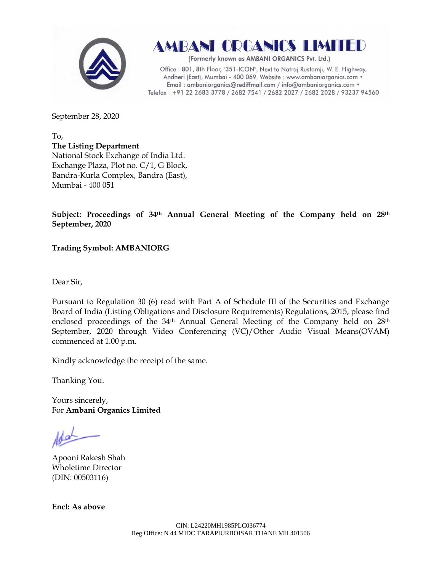

**AMBANI ORGANICS LIMITED** 

(Formerly known as AMBANI ORGANICS Pvt. Ltd.)

Office: 801, 8th Floor, "351-ICON", Next to Natraj Rustomji, W. E. Highway, Andheri (East), Mumbai - 400 069. Website : www.ambaniorganics.com • Email: ambaniorganics@rediffmail.com / info@ambaniorganics.com . Telefax: +91 22 2683 3778 / 2682 7541 / 2682 2027 / 2682 2028 / 93237 94560

September 28, 2020

To, **The Listing Department** National Stock Exchange of India Ltd. Exchange Plaza, Plot no. C/1, G Block, Bandra-Kurla Complex, Bandra (East), Mumbai - 400 051

**Subject: Proceedings of 34th Annual General Meeting of the Company held on 28th September, 2020**

**Trading Symbol: AMBANIORG**

Dear Sir,

Pursuant to Regulation 30 (6) read with Part A of Schedule III of the Securities and Exchange Board of India (Listing Obligations and Disclosure Requirements) Regulations, 2015, please find enclosed proceedings of the 34<sup>th</sup> Annual General Meeting of the Company held on 28<sup>th</sup> September, 2020 through Video Conferencing (VC)/Other Audio Visual Means(OVAM) commenced at 1.00 p.m.

Kindly acknowledge the receipt of the same.

Thanking You.

Yours sincerely, For **Ambani Organics Limited**

Apooni Rakesh Shah Wholetime Director (DIN: [00503116\)](http://www.mca.gov.in/mcafoportal/companyLLPMasterData.do)

**Encl: As above**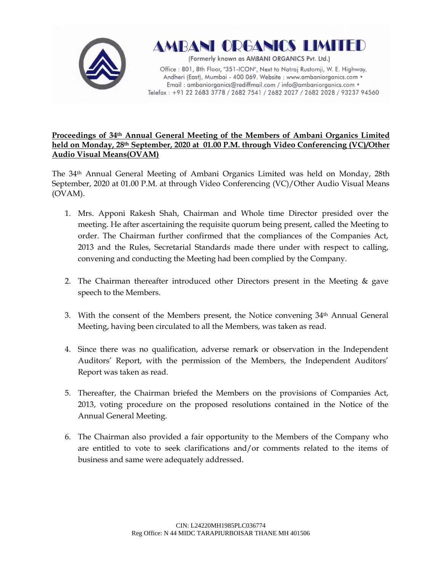



(Formerly known as AMBANI ORGANICS Pvt. Ltd.)

Office: 801, 8th Floor, "351-ICON", Next to Natraj Rustomji, W. E. Highway, Andheri (East), Mumbai - 400 069. Website : www.ambaniorganics.com • Email: ambaniorganics@rediffmail.com / info@ambaniorganics.com . Telefax: +91 22 2683 3778 / 2682 7541 / 2682 2027 / 2682 2028 / 93237 94560

## **Proceedings of 34th Annual General Meeting of the Members of Ambani Organics Limited held on Monday, 28th September, 2020 at 01.00 P.M. through Video Conferencing (VC)/Other Audio Visual Means(OVAM)**

The 34th Annual General Meeting of Ambani Organics Limited was held on Monday, 28th September, 2020 at 01.00 P.M. at through Video Conferencing (VC)/Other Audio Visual Means (OVAM).

- 1. Mrs. Apponi Rakesh Shah, Chairman and Whole time Director presided over the meeting. He after ascertaining the requisite quorum being present, called the Meeting to order. The Chairman further confirmed that the compliances of the Companies Act, 2013 and the Rules, Secretarial Standards made there under with respect to calling, convening and conducting the Meeting had been complied by the Company.
- 2. The Chairman thereafter introduced other Directors present in the Meeting & gave speech to the Members.
- 3. With the consent of the Members present, the Notice convening  $34<sup>th</sup>$  Annual General Meeting, having been circulated to all the Members, was taken as read.
- 4. Since there was no qualification, adverse remark or observation in the Independent Auditors' Report, with the permission of the Members, the Independent Auditors' Report was taken as read.
- 5. Thereafter, the Chairman briefed the Members on the provisions of Companies Act, 2013, voting procedure on the proposed resolutions contained in the Notice of the Annual General Meeting.
- 6. The Chairman also provided a fair opportunity to the Members of the Company who are entitled to vote to seek clarifications and/or comments related to the items of business and same were adequately addressed.